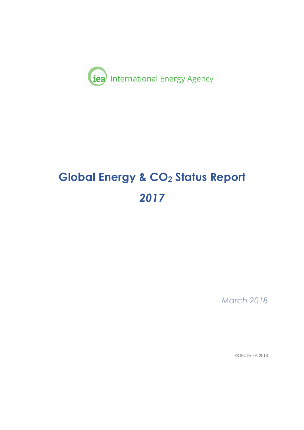

# **Global Energy & CO2 Status Report**  *2017*

*March 2018*

©OECD/IEA 2018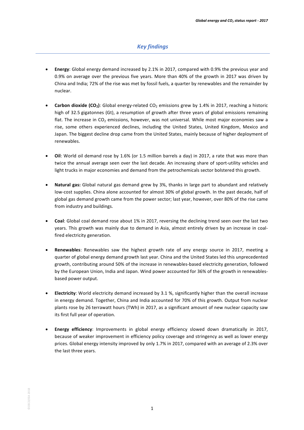## *Key findings*

- **Energy:** Global energy demand increased by 2.1% in 2017, compared with 0.9% the previous year and 0.9% on average over the previous five years. More than 40% of the growth in 2017 was driven by China and India; 72% of the rise was met by fossil fuels, a quarter by renewables and the remainder by nuclear.
- **Carbon dioxide**  $(CO_2)$ **:** Global energy-related  $CO_2$  emissions grew by 1.4% in 2017, reaching a historic high of 32.5 gigatonnes (Gt), a resumption of growth after three years of global emissions remaining flat. The increase in  $CO<sub>2</sub>$  emissions, however, was not universal. While most major economies saw a rise, some others experienced declines, including the United States, United Kingdom, Mexico and Japan. The biggest decline drop came from the United States, mainly because of higher deployment of renewables.
- Oil: World oil demand rose by 1.6% (or 1.5 million barrels a day) in 2017, a rate that was more than twice the annual average seen over the last decade. An increasing share of sport-utility vehicles and light trucks in major economies and demand from the petrochemicals sector bolstered this growth.
- Natural gas: Global natural gas demand grew by 3%, thanks in large part to abundant and relatively low-cost supplies. China alone accounted for almost 30% of global growth. In the past decade, half of global gas demand growth came from the power sector; last year, however, over 80% of the rise came from industry and buildings.
- Coal: Global coal demand rose about 1% in 2017, reversing the declining trend seen over the last two years. This growth was mainly due to demand in Asia, almost entirely driven by an increase in coalfired electricity generation.
- **Renewables**: Renewables saw the highest growth rate of any energy source in 2017, meeting a quarter of global energy demand growth last year. China and the United States led this unprecedented growth, contributing around 50% of the increase in renewables-based electricity generation, followed by the European Union, India and Japan. Wind power accounted for 36% of the growth in renewablesbased power output.
- **Electricity**: World electricity demand increased by 3.1 %, significantly higher than the overall increase in energy demand. Together, China and India accounted for 70% of this growth. Output from nuclear plants rose by 26 terrawatt hours (TWh) in 2017, as a significant amount of new nuclear capacity saw its first full year of operation.
- **Energy efficiency**: Improvements in global energy efficiency slowed down dramatically in 2017, because of weaker improvement in efficiency policy coverage and stringency as well as lower energy prices. Global energy intensity improved by only 1.7% in 2017, compared with an average of 2.3% over the last three years.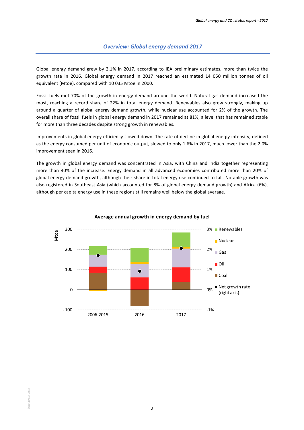Global energy demand grew by 2.1% in 2017, according to IEA preliminary estimates, more than twice the growth rate in 2016. Global energy demand in 2017 reached an estimated 14 050 million tonnes of oil equivalent (Mtoe), compared with 10 035 Mtoe in 2000.

Fossil-fuels met 70% of the growth in energy demand around the world. Natural gas demand increased the most, reaching a record share of 22% in total energy demand. Renewables also grew strongly, making up around a quarter of global energy demand growth, while nuclear use accounted for 2% of the growth. The overall share of fossil fuels in global energy demand in 2017 remained at 81%, a level that has remained stable for more than three decades despite strong growth in renewables.

Improvements in global energy efficiency slowed down. The rate of decline in global energy intensity, defined as the energy consumed per unit of economic output, slowed to only 1.6% in 2017, much lower than the 2.0% improvement seen in 2016.

The growth in global energy demand was concentrated in Asia, with China and India together representing more than 40% of the increase. Energy demand in all advanced economies contributed more than 20% of global energy demand growth, although their share in total energy use continued to fall. Notable growth was also registered in Southeast Asia (which accounted for 8% of global energy demand growth) and Africa (6%), although per capita energy use in these regions still remains well below the global average.



#### Average annual growth in energy demand by fuel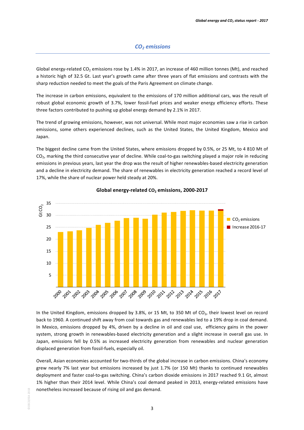Global energy-related  $CO_2$  emissions rose by 1.4% in 2017, an increase of 460 million tonnes (Mt), and reached a historic high of 32.5 Gt. Last year's growth came after three years of flat emissions and contrasts with the sharp reduction needed to meet the goals of the Paris Agreement on climate change.

The increase in carbon emissions, equivalent to the emissions of 170 million additional cars, was the result of robust global economic growth of 3.7%, lower fossil-fuel prices and weaker energy efficiency efforts. These three factors contributed to pushing up global energy demand by 2.1% in 2017.

The trend of growing emissions, however, was not universal. While most major economies saw a rise in carbon emissions, some others experienced declines, such as the United States, the United Kingdom, Mexico and Japan. 

The biggest decline came from the United States, where emissions dropped by 0.5%, or 25 Mt, to 4 810 Mt of  $CO<sub>2</sub>$ , marking the third consecutive year of decline. While coal-to-gas switching played a major role in reducing emissions in previous years, last year the drop was the result of higher renewables-based electricity generation and a decline in electricity demand. The share of renewables in electricity generation reached a record level of 17%, while the share of nuclear power held steady at 20%.



**Global energy-related CO<sub>2</sub> emissions, 2000-2017** 

In the United Kingdom, emissions dropped by 3.8%, or 15 Mt, to 350 Mt of CO<sub>2</sub>, their lowest level on record back to 1960. A continued shift away from coal towards gas and renewables led to a 19% drop in coal demand. In Mexico, emissions dropped by 4%, driven by a decline in oil and coal use, efficiency gains in the power system, strong growth in renewables-based electricity generation and a slight increase in overall gas use. In Japan, emissions fell by 0.5% as increased electricity generation from renewables and nuclear generation displaced generation from fossil-fuels, especially oil.

Overall, Asian economies accounted for two-thirds of the global increase in carbon emissions. China's economy grew nearly 7% last year but emissions increased by just 1.7% (or 150 Mt) thanks to continued renewables deployment and faster coal-to-gas switching. China's carbon dioxide emissions in 2017 reached 9.1 Gt, almost 1% higher than their 2014 level. While China's coal demand peaked in 2013, energy-related emissions have nonetheless increased because of rising oil and gas demand.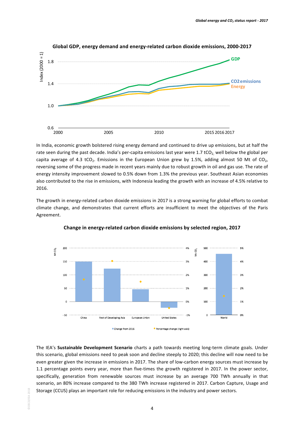

In India, economic growth bolstered rising energy demand and continued to drive up emissions, but at half the rate seen during the past decade. India's per-capita emissions last year were 1.7 tCO<sub>2</sub>, well below the global per capita average of 4.3 tCO<sub>2</sub>. Emissions in the European Union grew by 1.5%, adding almost 50 Mt of CO<sub>2</sub>, reversing some of the progress made in recent years mainly due to robust growth in oil and gas use. The rate of energy intensity improvement slowed to 0.5% down from 1.3% the previous year. Southeast Asian economies also contributed to the rise in emissions, with Indonesia leading the growth with an increase of 4.5% relative to 2016. 

The growth in energy-related carbon dioxide emissions in 2017 is a strong warning for global efforts to combat climate change, and demonstrates that current efforts are insufficient to meet the objectives of the Paris Agreement. 





The IEA's **Sustainable Development Scenario** charts a path towards meeting long-term climate goals. Under this scenario, global emissions need to peak soon and decline steeply to 2020; this decline will now need to be even greater given the increase in emissions in 2017. The share of low-carbon energy sources must increase by 1.1 percentage points every year, more than five-times the growth registered in 2017. In the power sector, specifically, generation from renewable sources must increase by an average 700 TWh annually in that scenario, an 80% increase compared to the 380 TWh increase registered in 2017. Carbon Capture, Usage and Storage (CCUS) plays an important role for reducing emissions in the industry and power sectors.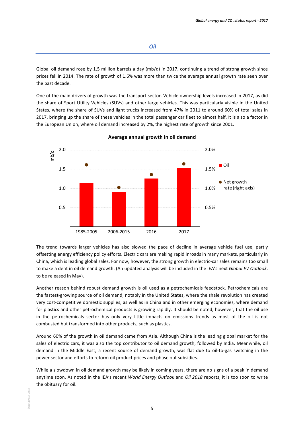#### *Oil*

Global oil demand rose by 1.5 million barrels a day (mb/d) in 2017, continuing a trend of strong growth since prices fell in 2014. The rate of growth of 1.6% was more than twice the average annual growth rate seen over the past decade.

One of the main drivers of growth was the transport sector. Vehicle ownership levels increased in 2017, as did the share of Sport Utility Vehicles (SUVs) and other large vehicles. This was particularly visible in the United States, where the share of SUVs and light trucks increased from 47% in 2011 to around 60% of total sales in 2017, bringing up the share of these vehicles in the total passenger car fleet to almost half. It is also a factor in the European Union, where oil demand increased by 2%, the highest rate of growth since 2001.



#### **Average annual growth in oil demand**

The trend towards larger vehicles has also slowed the pace of decline in average vehicle fuel use, partly offsetting energy efficiency policy efforts. Electric cars are making rapid inroads in many markets, particularly in China, which is leading global sales. For now, however, the strong growth in electric-car sales remains too small to make a dent in oil demand growth. (An updated analysis will be included in the IEA's next *Global EV Outlook*, to be released in May).

Another reason behind robust demand growth is oil used as a petrochemicals feedstock. Petrochemicals are the fastest-growing source of oil demand, notably in the United States, where the shale revolution has created very cost-competitive domestic supplies, as well as in China and in other emerging economies, where demand for plastics and other petrochemical products is growing rapidly. It should be noted, however, that the oil use in the petrochemicals sector has only very little impacts on emissions trends as most of the oil is not combusted but transformed into other products, such as plastics.

Around 60% of the growth in oil demand came from Asia. Although China is the leading global market for the sales of electric cars, it was also the top contributor to oil demand growth, followed by India. Meanwhile, oil demand in the Middle East, a recent source of demand growth, was flat due to oil-to-gas switching in the power sector and efforts to reform oil product prices and phase out subsidies.

While a slowdown in oil demand growth may be likely in coming years, there are no signs of a peak in demand anytime soon. As noted in the IEA's recent *World Energy Outlook* and *Oil 2018* reports, it is too soon to write the obituary for oil.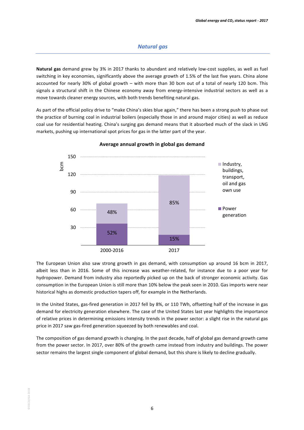## *Natural gas*

Natural gas demand grew by 3% in 2017 thanks to abundant and relatively low-cost supplies, as well as fuel switching in key economies, significantly above the average growth of 1.5% of the last five years. China alone accounted for nearly 30% of global growth – with more than 30 bcm out of a total of nearly 120 bcm. This signals a structural shift in the Chinese economy away from energy-intensive industrial sectors as well as a move towards cleaner energy sources, with both trends benefiting natural gas.

As part of the official policy drive to "make China's skies blue again," there has been a strong push to phase out the practice of burning coal in industrial boilers (especially those in and around major cities) as well as reduce coal use for residential heating. China's surging gas demand means that it absorbed much of the slack in LNG markets, pushing up international spot prices for gas in the latter part of the year.



#### **Average annual growth in global gas demand**

The European Union also saw strong growth in gas demand, with consumption up around 16 bcm in 2017, albeit less than in 2016. Some of this increase was weather-related, for instance due to a poor year for hydropower. Demand from industry also reportedly picked up on the back of stronger economic activity. Gas consumption in the European Union is still more than 10% below the peak seen in 2010. Gas imports were near historical highs as domestic production tapers off, for example in the Netherlands.

In the United States, gas-fired generation in 2017 fell by 8%, or 110 TWh, offsetting half of the increase in gas demand for electricity generation elsewhere. The case of the United States last year highlights the importance of relative prices in determining emissions intensity trends in the power sector: a slight rise in the natural gas price in 2017 saw gas-fired generation squeezed by both renewables and coal.

The composition of gas demand growth is changing. In the past decade, half of global gas demand growth came from the power sector. In 2017, over 80% of the growth came instead from industry and buildings. The power sector remains the largest single component of global demand, but this share is likely to decline gradually.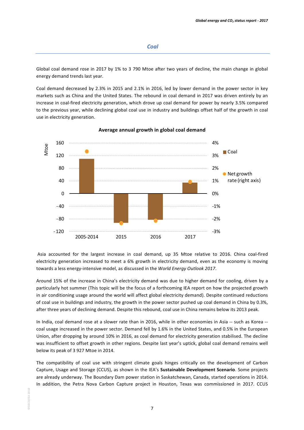## *Coal*

Global coal demand rose in 2017 by 1% to 3 790 Mtoe after two years of decline, the main change in global energy demand trends last year.

Coal demand decreased by 2.3% in 2015 and 2.1% in 2016, led by lower demand in the power sector in key markets such as China and the United States. The rebound in coal demand in 2017 was driven entirely by an increase in coal-fired electricity generation, which drove up coal demand for power by nearly 3.5% compared to the previous year, while declining global coal use in industry and buildings offset half of the growth in coal use in electricity generation.



#### **Average annual growth in global coal demand**

Asia accounted for the largest increase in coal demand, up 35 Mtoe relative to 2016. China coal-fired electricity generation increased to meet a 6% growth in electricity demand, even as the economy is moving towards a less energy-intensive model, as discussed in the *World Energy Outlook 2017*.

Around 15% of the increase in China's electricity demand was due to higher demand for cooling, driven by a particularly hot summer (This topic will be the focus of a forthcoming IEA report on how the projected growth in air conditioning usage around the world will affect global electricity demand). Despite continued reductions of coal use in buildings and industry, the growth in the power sector pushed up coal demand in China by 0.3%, after three years of declining demand. Despite this rebound, coal use in China remains below its 2013 peak.

In India, coal demand rose at a slower rate than in 2016, while in other economies in Asia -- such as Korea -coal usage increased in the power sector. Demand fell by 1.6% in the United States, and 0.5% in the European Union, after dropping by around 10% in 2016, as coal demand for electricity generation stabilised. The decline was insufficient to offset growth in other regions. Despite last year's uptick, global coal demand remains well below its peak of 3 927 Mtoe in 2014.

The compatibility of coal use with stringent climate goals hinges critically on the development of Carbon Capture, Usage and Storage (CCUS), as shown in the IEA's Sustainable Development Scenario. Some projects are already underway. The Boundary Dam power station in Saskatchewan, Canada, started operations in 2014. In addition, the Petra Nova Carbon Capture project in Houston, Texas was commissioned in 2017. CCUS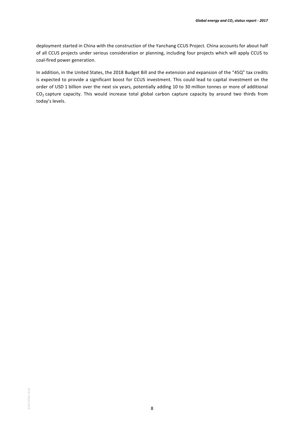deployment started in China with the construction of the Yanchang CCUS Project. China accounts for about half of all CCUS projects under serious consideration or planning, including four projects which will apply CCUS to coal-fired power generation.

In addition, in the United States, the 2018 Budget Bill and the extension and expansion of the "45Q" tax credits is expected to provide a significant boost for CCUS investment. This could lead to capital investment on the order of USD 1 billion over the next six years, potentially adding 10 to 30 million tonnes or more of additional  $CO<sub>2</sub>$  capture capacity. This would increase total global carbon capture capacity by around two thirds from today's levels.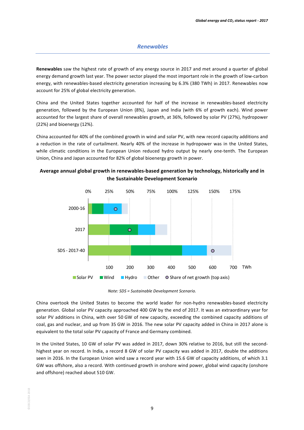### *Renewables*

**Renewables** saw the highest rate of growth of any energy source in 2017 and met around a quarter of global energy demand growth last year. The power sector played the most important role in the growth of low-carbon energy, with renewables-based electricity generation increasing by 6.3% (380 TWh) in 2017. Renewables now account for 25% of global electricity generation.

China and the United States together accounted for half of the increase in renewables-based electricity generation, followed by the European Union (8%), Japan and India (with 6% of growth each). Wind power accounted for the largest share of overall renewables growth, at 36%, followed by solar PV (27%), hydropower  $(22%)$  and bioenergy  $(12%)$ .

China accounted for 40% of the combined growth in wind and solar PV, with new record capacity additions and a reduction in the rate of curtailment. Nearly 40% of the increase in hydropower was in the United States, while climatic conditions in the European Union reduced hydro output by nearly one-tenth. The European Union, China and Japan accounted for 82% of global bioenergy growth in power.



Average annual global growth in renewables-based generation by technology, historically and in **the Sustainable Development Scenario**

*Note:* SDS = Sustainable Development Scenario.

China overtook the United States to become the world leader for non-hydro renewables-based electricity generation. Global solar PV capacity approached 400 GW by the end of 2017. It was an extraordinary year for solar PV additions in China, with over 50 GW of new capacity, exceeding the combined capacity additions of coal, gas and nuclear, and up from 35 GW in 2016. The new solar PV capacity added in China in 2017 alone is equivalent to the total solar PV capacity of France and Germany combined.

In the United States, 10 GW of solar PV was added in 2017, down 30% relative to 2016, but still the secondhighest year on record. In India, a record 8 GW of solar PV capacity was added in 2017, double the additions seen in 2016. In the European Union wind saw a record year with 15.6 GW of capacity additions, of which 3.1 GW was offshore, also a record. With continued growth in onshore wind power, global wind capacity (onshore and offshore) reached about 510 GW.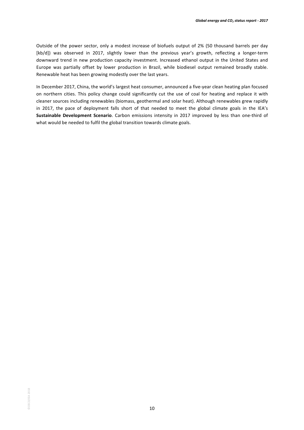Outside of the power sector, only a modest increase of biofuels output of 2% (50 thousand barrels per day [kb/d]) was observed in 2017, slightly lower than the previous year's growth, reflecting a longer-term downward trend in new production capacity investment. Increased ethanol output in the United States and Europe was partially offset by lower production in Brazil, while biodiesel output remained broadly stable. Renewable heat has been growing modestly over the last years.

In December 2017, China, the world's largest heat consumer, announced a five-year clean heating plan focused on northern cities. This policy change could significantly cut the use of coal for heating and replace it with cleaner sources including renewables (biomass, geothermal and solar heat). Although renewables grew rapidly in 2017, the pace of deployment falls short of that needed to meet the global climate goals in the IEA's **Sustainable Development Scenario**. Carbon emissions intensity in 2017 improved by less than one-third of what would be needed to fulfil the global transition towards climate goals.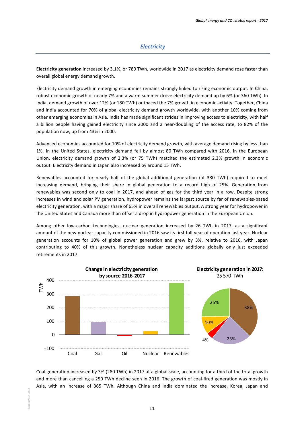## *Electricity*

**Electricity generation** increased by 3.1%, or 780 TWh, worldwide in 2017 as electricity demand rose faster than overall global energy demand growth.

Electricity demand growth in emerging economies remains strongly linked to rising economic output. In China, robust economic growth of nearly 7% and a warm summer drove electricity demand up by 6% (or 360 TWh). In India, demand growth of over 12% (or 180 TWh) outpaced the 7% growth in economic activity. Together, China and India accounted for 70% of global electricity demand growth worldwide, with another 10% coming from other emerging economies in Asia. India has made significant strides in improving access to electricity, with half a billion people having gained electricity since 2000 and a near-doubling of the access rate, to 82% of the population now, up from 43% in 2000.

Advanced economies accounted for 10% of electricity demand growth, with average demand rising by less than 1%. In the United States, electricity demand fell by almost 80 TWh compared with 2016. In the European Union, electricity demand growth of 2.3% (or 75 TWh) matched the estimated 2.3% growth in economic output. Electricity demand in Japan also increased by around 15 TWh.

Renewables accounted for nearly half of the global additional generation (at 380 TWh) required to meet increasing demand, bringing their share in global generation to a record high of 25%. Generation from renewables was second only to coal in 2017, and ahead of gas for the third year in a row. Despite strong increases in wind and solar PV generation, hydropower remains the largest source by far of renewables-based electricity generation, with a major share of 65% in overall renewables output. A strong year for hydropower in the United States and Canada more than offset a drop in hydropower generation in the European Union.

Among other low-carbon technologies, nuclear generation increased by 26 TWh in 2017, as a significant amount of the new nuclear capacity commissioned in 2016 saw its first full-year of operation last year. Nuclear generation accounts for 10% of global power generation and grew by 3%, relative to 2016, with Japan contributing to 40% of this growth. Nonetheless nuclear capacity additions globally only just exceeded retirements in 2017.



Coal generation increased by 3% (280 TWh) in 2017 at a global scale, accounting for a third of the total growth and more than cancelling a 250 TWh decline seen in 2016. The growth of coal-fired generation was mostly in Asia, with an increase of 365 TWh. Although China and India dominated the increase, Korea, Japan and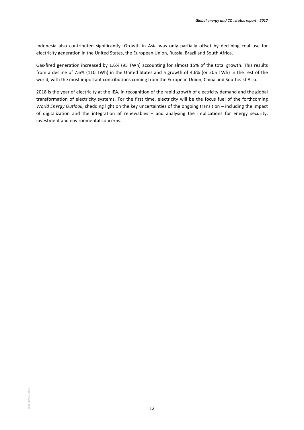Indonesia also contributed significantly. Growth in Asia was only partially offset by declining coal use for electricity generation in the United States, the European Union, Russia, Brazil and South Africa.

Gas-fired generation increased by 1.6% (95 TWh) accounting for almost 15% of the total growth. This results from a decline of 7.6% (110 TWh) in the United States and a growth of 4.6% (or 205 TWh) in the rest of the world, with the most important contributions coming from the European Union, China and Southeast Asia.

2018 is the year of electricity at the IEA, in recognition of the rapid growth of electricity demand and the global transformation of electricity systems. For the first time, electricity will be the focus fuel of the forthcoming *World Energy Outlook*, shedding light on the key uncertainties of the ongoing transition – including the impact of digitalization and the integration of renewables – and analysing the implications for energy security, investment and environmental concerns.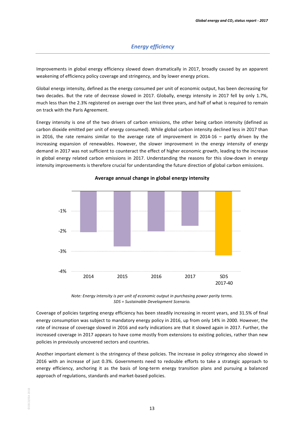Improvements in global energy efficiency slowed down dramatically in 2017, broadly caused by an apparent weakening of efficiency policy coverage and stringency, and by lower energy prices.

Global energy intensity, defined as the energy consumed per unit of economic output, has been decreasing for two decades. But the rate of decrease slowed in 2017. Globally, energy intensity in 2017 fell by only 1.7%, much less than the 2.3% registered on average over the last three years, and half of what is required to remain on track with the Paris Agreement.

Energy intensity is one of the two drivers of carbon emissions, the other being carbon intensity (defined as carbon dioxide emitted per unit of energy consumed). While global carbon intensity declined less in 2017 than in 2016, the rate remains similar to the average rate of improvement in 2014-16 – partly driven by the increasing expansion of renewables. However, the slower improvement in the energy intensity of energy demand in 2017 was not sufficient to counteract the effect of higher economic growth, leading to the increase in global energy related carbon emissions in 2017. Understanding the reasons for this slow-down in energy intensity improvements is therefore crucial for understanding the future direction of global carbon emissions.



Average annual change in global energy intensity

*Note: Energy intensity is per unit of economic output in purchasing power parity terms. SDS = Sustainable Development Scenario.*

Coverage of policies targeting energy efficiency has been steadily increasing in recent years, and 31.5% of final energy consumption was subject to mandatory energy policy in 2016, up from only 14% in 2000. However, the rate of increase of coverage slowed in 2016 and early indications are that it slowed again in 2017. Further, the increased coverage in 2017 appears to have come mostly from extensions to existing policies, rather than new policies in previously uncovered sectors and countries.

Another important element is the stringency of these policies. The increase in policy stringency also slowed in 2016 with an increase of just 0.3%. Governments need to redouble efforts to take a strategic approach to energy efficiency, anchoring it as the basis of long-term energy transition plans and pursuing a balanced approach of regulations, standards and market-based policies.